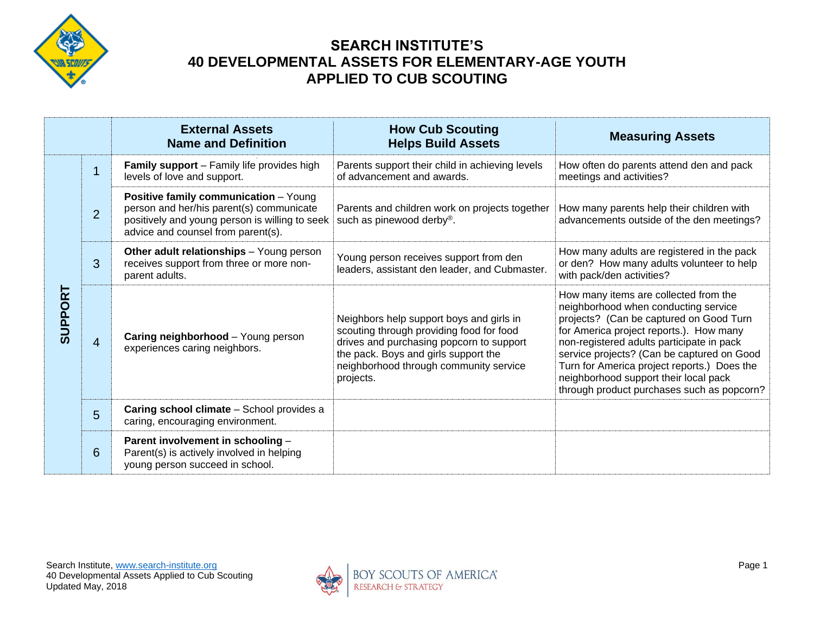

|                |                | <b>External Assets</b><br><b>Name and Definition</b>                                                                                                                             | <b>How Cub Scouting</b><br><b>Helps Build Assets</b>                                                                                                                                                                            | <b>Measuring Assets</b>                                                                                                                                                                                                                                                                                                                                                                              |
|----------------|----------------|----------------------------------------------------------------------------------------------------------------------------------------------------------------------------------|---------------------------------------------------------------------------------------------------------------------------------------------------------------------------------------------------------------------------------|------------------------------------------------------------------------------------------------------------------------------------------------------------------------------------------------------------------------------------------------------------------------------------------------------------------------------------------------------------------------------------------------------|
| <b>SUPPORT</b> | $\overline{1}$ | <b>Family support</b> – Family life provides high<br>levels of love and support.                                                                                                 | Parents support their child in achieving levels<br>of advancement and awards.                                                                                                                                                   | How often do parents attend den and pack<br>meetings and activities?                                                                                                                                                                                                                                                                                                                                 |
|                | $\overline{2}$ | <b>Positive family communication - Young</b><br>person and her/his parent(s) communicate<br>positively and young person is willing to seek<br>advice and counsel from parent(s). | Parents and children work on projects together<br>such as pinewood derby®.                                                                                                                                                      | How many parents help their children with<br>advancements outside of the den meetings?                                                                                                                                                                                                                                                                                                               |
|                | 3              | Other adult relationships - Young person<br>receives support from three or more non-<br>parent adults.                                                                           | Young person receives support from den<br>leaders, assistant den leader, and Cubmaster.                                                                                                                                         | How many adults are registered in the pack<br>or den? How many adults volunteer to help<br>with pack/den activities?                                                                                                                                                                                                                                                                                 |
|                | $\overline{4}$ | Caring neighborhood - Young person<br>experiences caring neighbors.                                                                                                              | Neighbors help support boys and girls in<br>scouting through providing food for food<br>drives and purchasing popcorn to support<br>the pack. Boys and girls support the<br>neighborhood through community service<br>projects. | How many items are collected from the<br>neighborhood when conducting service<br>projects? (Can be captured on Good Turn<br>for America project reports.). How many<br>non-registered adults participate in pack<br>service projects? (Can be captured on Good<br>Turn for America project reports.) Does the<br>neighborhood support their local pack<br>through product purchases such as popcorn? |
|                | 5              | Caring school climate - School provides a<br>caring, encouraging environment.                                                                                                    |                                                                                                                                                                                                                                 |                                                                                                                                                                                                                                                                                                                                                                                                      |
|                | 6              | Parent involvement in schooling -<br>Parent(s) is actively involved in helping<br>young person succeed in school.                                                                |                                                                                                                                                                                                                                 |                                                                                                                                                                                                                                                                                                                                                                                                      |

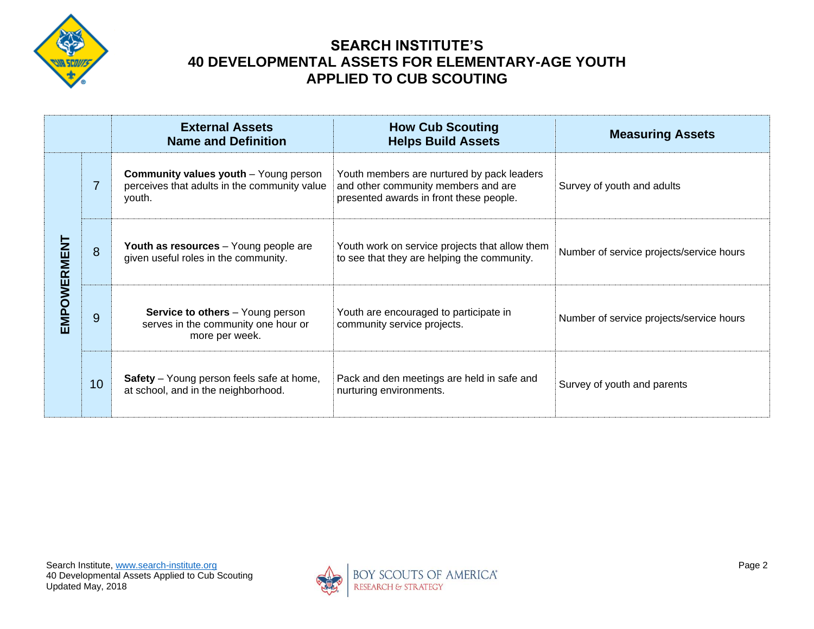

|                    |                | <b>External Assets</b><br><b>Name and Definition</b>                                                   | <b>How Cub Scouting</b><br><b>Helps Build Assets</b>                                                                         | <b>Measuring Assets</b>                  |
|--------------------|----------------|--------------------------------------------------------------------------------------------------------|------------------------------------------------------------------------------------------------------------------------------|------------------------------------------|
| <b>EMPOWERMENT</b> | $\overline{7}$ | <b>Community values youth</b> – Young person<br>perceives that adults in the community value<br>youth. | Youth members are nurtured by pack leaders<br>and other community members and are<br>presented awards in front these people. | Survey of youth and adults               |
|                    | 8              | Youth as resources - Young people are<br>given useful roles in the community.                          | Youth work on service projects that allow them<br>to see that they are helping the community.                                | Number of service projects/service hours |
|                    | 9              | <b>Service to others</b> - Young person<br>serves in the community one hour or<br>more per week.       | Youth are encouraged to participate in<br>community service projects.                                                        | Number of service projects/service hours |
|                    | 10             | <b>Safety</b> – Young person feels safe at home,<br>at school, and in the neighborhood.                | Pack and den meetings are held in safe and<br>nurturing environments.                                                        | Survey of youth and parents              |

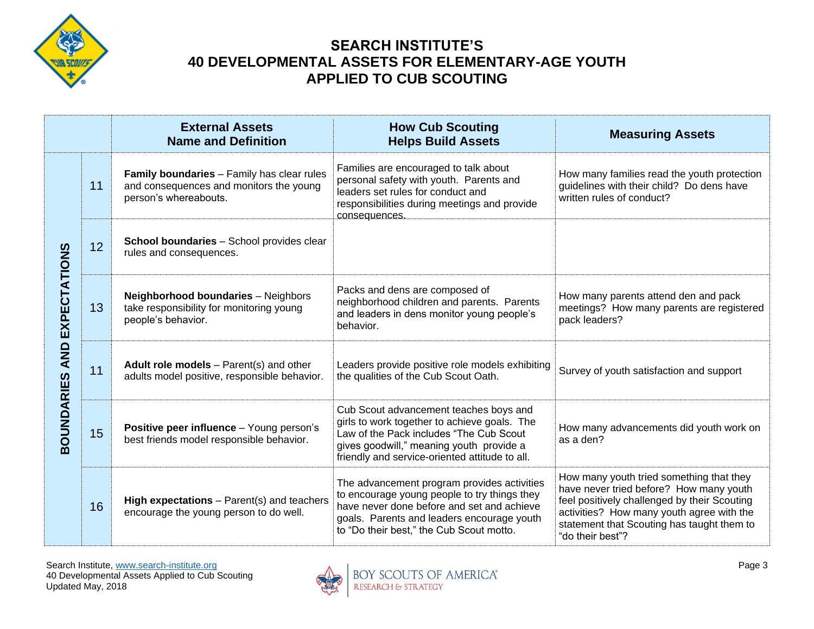

|                                       |    | <b>External Assets</b><br><b>Name and Definition</b>                                                           | <b>How Cub Scouting</b><br><b>Helps Build Assets</b>                                                                                                                                                                                | <b>Measuring Assets</b>                                                                                                                                                                                                                            |
|---------------------------------------|----|----------------------------------------------------------------------------------------------------------------|-------------------------------------------------------------------------------------------------------------------------------------------------------------------------------------------------------------------------------------|----------------------------------------------------------------------------------------------------------------------------------------------------------------------------------------------------------------------------------------------------|
| AND EXPECTATIONS<br><b>30UNDARIES</b> | 11 | Family boundaries - Family has clear rules<br>and consequences and monitors the young<br>person's whereabouts. | Families are encouraged to talk about<br>personal safety with youth. Parents and<br>leaders set rules for conduct and<br>responsibilities during meetings and provide<br>consequences.                                              | How many families read the youth protection<br>guidelines with their child? Do dens have<br>written rules of conduct?                                                                                                                              |
|                                       | 12 | School boundaries - School provides clear<br>rules and consequences.                                           |                                                                                                                                                                                                                                     |                                                                                                                                                                                                                                                    |
|                                       | 13 | <b>Neighborhood boundaries - Neighbors</b><br>take responsibility for monitoring young<br>people's behavior.   | Packs and dens are composed of<br>neighborhood children and parents. Parents<br>and leaders in dens monitor young people's<br>behavior.                                                                                             | How many parents attend den and pack<br>meetings? How many parents are registered<br>pack leaders?                                                                                                                                                 |
|                                       | 11 | Adult role models $-$ Parent(s) and other<br>adults model positive, responsible behavior.                      | Leaders provide positive role models exhibiting<br>the qualities of the Cub Scout Oath.                                                                                                                                             | Survey of youth satisfaction and support                                                                                                                                                                                                           |
|                                       | 15 | Positive peer influence - Young person's<br>best friends model responsible behavior.                           | Cub Scout advancement teaches boys and<br>girls to work together to achieve goals. The<br>Law of the Pack includes "The Cub Scout<br>gives goodwill," meaning youth provide a<br>friendly and service-oriented attitude to all.     | How many advancements did youth work on<br>as a den?                                                                                                                                                                                               |
|                                       | 16 | High expectations - Parent(s) and teachers<br>encourage the young person to do well.                           | The advancement program provides activities<br>to encourage young people to try things they<br>have never done before and set and achieve<br>goals. Parents and leaders encourage youth<br>to "Do their best," the Cub Scout motto. | How many youth tried something that they<br>have never tried before? How many youth<br>feel positively challenged by their Scouting<br>activities? How many youth agree with the<br>statement that Scouting has taught them to<br>"do their best"? |

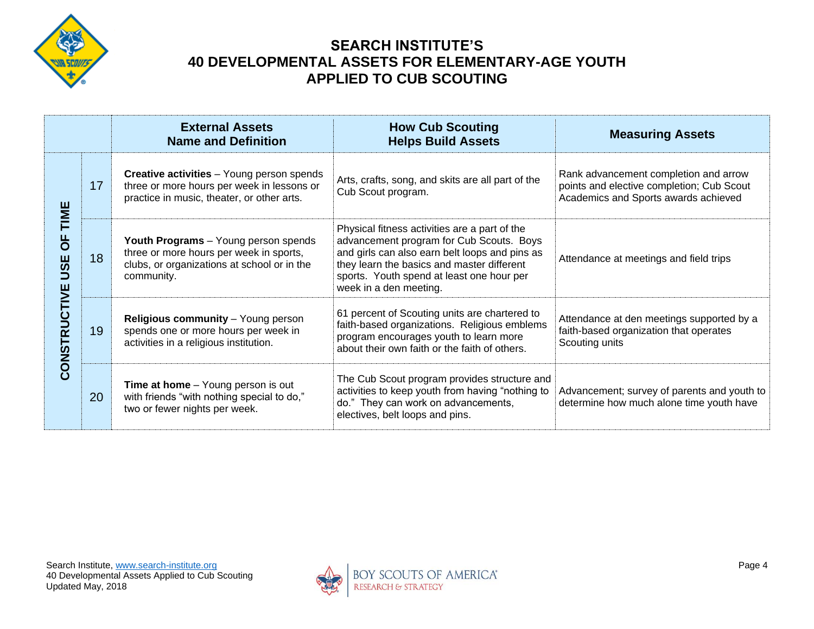

|                                               |    | <b>External Assets</b><br><b>Name and Definition</b>                                                                                         | <b>How Cub Scouting</b><br><b>Helps Build Assets</b>                                                                                                                                                                                                             | <b>Measuring Assets</b>                                                                                                    |
|-----------------------------------------------|----|----------------------------------------------------------------------------------------------------------------------------------------------|------------------------------------------------------------------------------------------------------------------------------------------------------------------------------------------------------------------------------------------------------------------|----------------------------------------------------------------------------------------------------------------------------|
| TIME<br>$\overline{0}$<br>USE<br>CONSTRUCTIVE | 17 | <b>Creative activities</b> - Young person spends<br>three or more hours per week in lessons or<br>practice in music, theater, or other arts. | Arts, crafts, song, and skits are all part of the<br>Cub Scout program.                                                                                                                                                                                          | Rank advancement completion and arrow<br>points and elective completion; Cub Scout<br>Academics and Sports awards achieved |
|                                               | 18 | Youth Programs - Young person spends<br>three or more hours per week in sports,<br>clubs, or organizations at school or in the<br>community. | Physical fitness activities are a part of the<br>advancement program for Cub Scouts. Boys<br>and girls can also earn belt loops and pins as<br>they learn the basics and master different<br>sports. Youth spend at least one hour per<br>week in a den meeting. | Attendance at meetings and field trips                                                                                     |
|                                               | 19 | Religious community - Young person<br>spends one or more hours per week in<br>activities in a religious institution.                         | 61 percent of Scouting units are chartered to<br>faith-based organizations. Religious emblems<br>program encourages youth to learn more<br>about their own faith or the faith of others.                                                                         | Attendance at den meetings supported by a<br>faith-based organization that operates<br>Scouting units                      |
|                                               | 20 | <b>Time at home</b> - Young person is out<br>with friends "with nothing special to do,"<br>two or fewer nights per week.                     | The Cub Scout program provides structure and<br>activities to keep youth from having "nothing to<br>do." They can work on advancements,<br>electives, belt loops and pins.                                                                                       | Advancement; survey of parents and youth to<br>determine how much alone time youth have                                    |

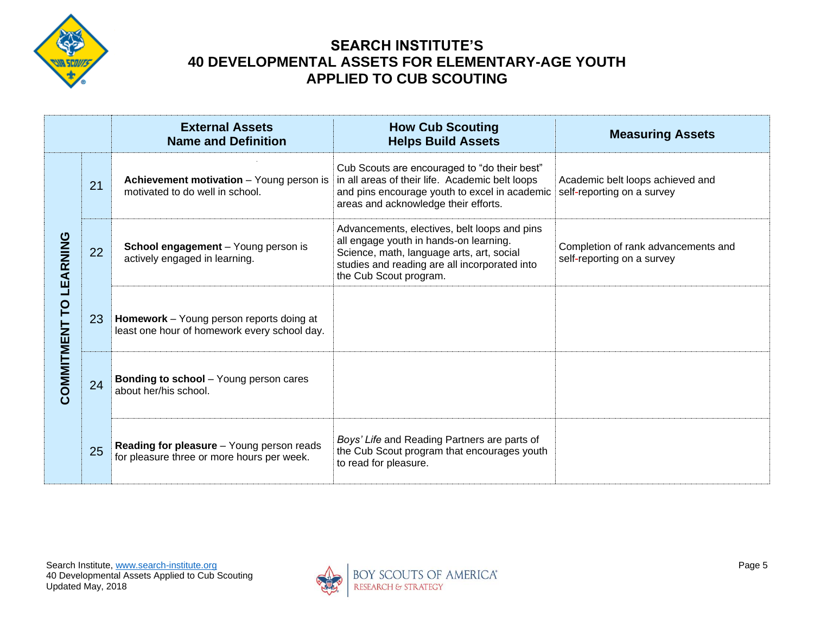

|                           |    | <b>External Assets</b><br><b>Name and Definition</b>                                     | <b>How Cub Scouting</b><br><b>Helps Build Assets</b>                                                                                                                                                           | <b>Measuring Assets</b>                                           |
|---------------------------|----|------------------------------------------------------------------------------------------|----------------------------------------------------------------------------------------------------------------------------------------------------------------------------------------------------------------|-------------------------------------------------------------------|
|                           | 21 | Achievement motivation - Young person is<br>motivated to do well in school.              | Cub Scouts are encouraged to "do their best"<br>in all areas of their life. Academic belt loops<br>and pins encourage youth to excel in academic<br>areas and acknowledge their efforts.                       | Academic belt loops achieved and<br>self-reporting on a survey    |
| LEARNING<br>COMMITMENT TO | 22 | School engagement - Young person is<br>actively engaged in learning.                     | Advancements, electives, belt loops and pins<br>all engage youth in hands-on learning.<br>Science, math, language arts, art, social<br>studies and reading are all incorporated into<br>the Cub Scout program. | Completion of rank advancements and<br>self-reporting on a survey |
|                           | 23 | Homework - Young person reports doing at<br>least one hour of homework every school day. |                                                                                                                                                                                                                |                                                                   |
|                           | 24 | <b>Bonding to school</b> - Young person cares<br>about her/his school.                   |                                                                                                                                                                                                                |                                                                   |
|                           | 25 | Reading for pleasure - Young person reads<br>for pleasure three or more hours per week.  | Boys' Life and Reading Partners are parts of<br>the Cub Scout program that encourages youth<br>to read for pleasure.                                                                                           |                                                                   |

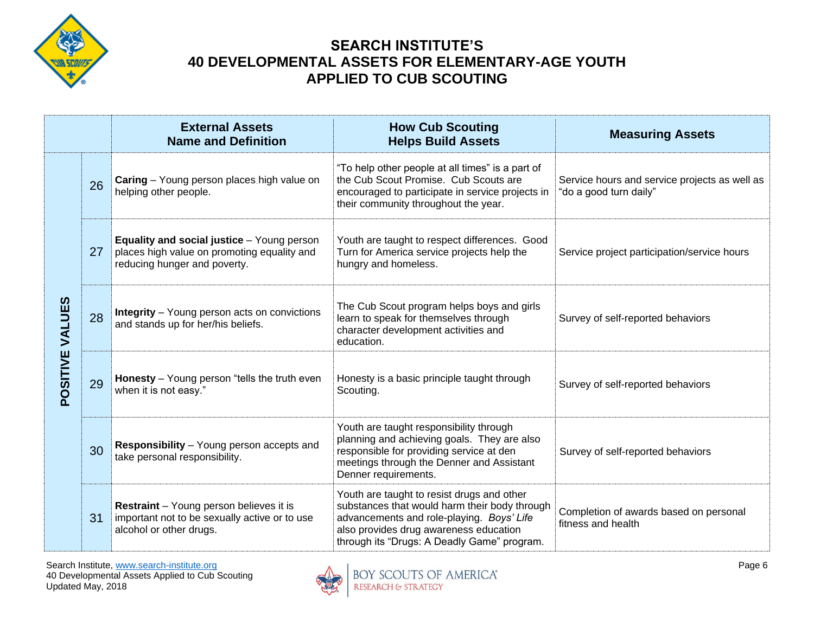

|                 |    | <b>External Assets</b><br><b>Name and Definition</b>                                                                             | <b>How Cub Scouting</b><br><b>Helps Build Assets</b>                                                                                                                                                                              | <b>Measuring Assets</b>                                                 |
|-----------------|----|----------------------------------------------------------------------------------------------------------------------------------|-----------------------------------------------------------------------------------------------------------------------------------------------------------------------------------------------------------------------------------|-------------------------------------------------------------------------|
| POSITIVE VALUES | 26 | Caring - Young person places high value on<br>helping other people.                                                              | "To help other people at all times" is a part of<br>the Cub Scout Promise. Cub Scouts are<br>encouraged to participate in service projects in<br>their community throughout the year.                                             | Service hours and service projects as well as<br>"do a good turn daily" |
|                 | 27 | <b>Equality and social justice</b> - Young person<br>places high value on promoting equality and<br>reducing hunger and poverty. | Youth are taught to respect differences. Good<br>Turn for America service projects help the<br>hungry and homeless.                                                                                                               | Service project participation/service hours                             |
|                 | 28 | <b>Integrity</b> - Young person acts on convictions<br>and stands up for her/his beliefs.                                        | The Cub Scout program helps boys and girls<br>learn to speak for themselves through<br>character development activities and<br>education.                                                                                         | Survey of self-reported behaviors                                       |
|                 | 29 | Honesty - Young person "tells the truth even<br>when it is not easy."                                                            | Honesty is a basic principle taught through<br>Scouting.                                                                                                                                                                          | Survey of self-reported behaviors                                       |
|                 | 30 | Responsibility - Young person accepts and<br>take personal responsibility.                                                       | Youth are taught responsibility through<br>planning and achieving goals. They are also<br>responsible for providing service at den<br>meetings through the Denner and Assistant<br>Denner requirements.                           | Survey of self-reported behaviors                                       |
|                 | 31 | Restraint - Young person believes it is<br>important not to be sexually active or to use<br>alcohol or other drugs.              | Youth are taught to resist drugs and other<br>substances that would harm their body through<br>advancements and role-playing. Boys' Life<br>also provides drug awareness education<br>through its "Drugs: A Deadly Game" program. | Completion of awards based on personal<br>fitness and health            |

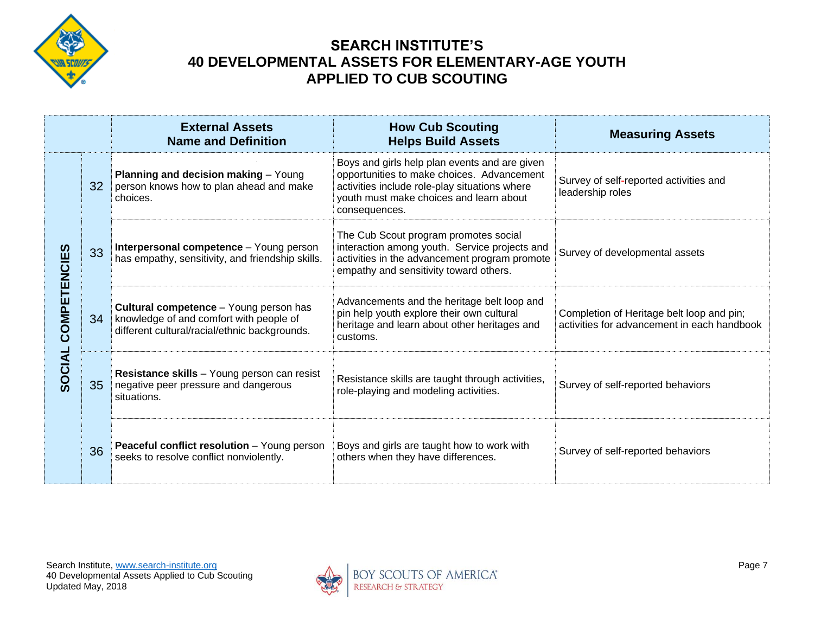

|                        |    | <b>External Assets</b><br><b>Name and Definition</b>                                                                                      | <b>How Cub Scouting</b><br><b>Helps Build Assets</b>                                                                                                                                                     | <b>Measuring Assets</b>                                                                  |
|------------------------|----|-------------------------------------------------------------------------------------------------------------------------------------------|----------------------------------------------------------------------------------------------------------------------------------------------------------------------------------------------------------|------------------------------------------------------------------------------------------|
|                        | 32 | Planning and decision making - Young<br>person knows how to plan ahead and make<br>choices.                                               | Boys and girls help plan events and are given<br>opportunities to make choices. Advancement<br>activities include role-play situations where<br>youth must make choices and learn about<br>consequences. | Survey of self-reported activities and<br>leadership roles                               |
| COMPETENCIES<br>SOCIAL | 33 | Interpersonal competence - Young person<br>has empathy, sensitivity, and friendship skills.                                               | The Cub Scout program promotes social<br>interaction among youth. Service projects and<br>activities in the advancement program promote<br>empathy and sensitivity toward others.                        | Survey of developmental assets                                                           |
|                        | 34 | <b>Cultural competence</b> - Young person has<br>knowledge of and comfort with people of<br>different cultural/racial/ethnic backgrounds. | Advancements and the heritage belt loop and<br>pin help youth explore their own cultural<br>heritage and learn about other heritages and<br>customs.                                                     | Completion of Heritage belt loop and pin;<br>activities for advancement in each handbook |
|                        | 35 | Resistance skills - Young person can resist<br>negative peer pressure and dangerous<br>situations.                                        | Resistance skills are taught through activities,<br>role-playing and modeling activities.                                                                                                                | Survey of self-reported behaviors                                                        |
|                        | 36 | <b>Peaceful conflict resolution</b> - Young person<br>seeks to resolve conflict nonviolently.                                             | Boys and girls are taught how to work with<br>others when they have differences.                                                                                                                         | Survey of self-reported behaviors                                                        |